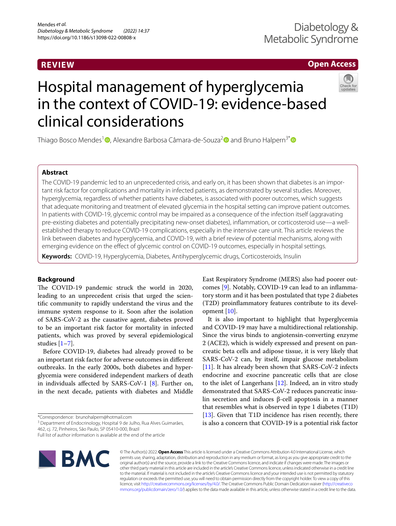# **REVIEW**

# **Open Access**

# Hospital management of hyperglycemia in the context of COVID-19: evidence-based clinical considerations

Thiago Bosco Mendes<sup>1</sup> . Alexandre Barbosa Câmara-de-Souza<sup>[2](http://orcid.org/0000-0002-4029-3667)</sup> and Bruno Halpern<sup>3[\\*](http://orcid.org/0000-0003-0973-5065)</sup> <sup>■</sup>

# **Abstract**

The COVID-19 pandemic led to an unprecedented crisis, and early on, it has been shown that diabetes is an important risk factor for complications and mortality in infected patients, as demonstrated by several studies. Moreover, hyperglycemia, regardless of whether patients have diabetes, is associated with poorer outcomes, which suggests that adequate monitoring and treatment of elevated glycemia in the hospital setting can improve patient outcomes. In patients with COVID-19, glycemic control may be impaired as a consequence of the infection itself (aggravating pre-existing diabetes and potentially precipitating new-onset diabetes), infammation, or corticosteroid use—a wellestablished therapy to reduce COVID-19 complications, especially in the intensive care unit. This article reviews the link between diabetes and hyperglycemia, and COVID-19, with a brief review of potential mechanisms, along with emerging evidence on the efect of glycemic control on COVID-19 outcomes, especially in hospital settings.

**Keywords:** COVID-19, Hyperglycemia, Diabetes, Antihyperglycemic drugs, Corticosteroids, Insulin

# **Background**

The COVID-19 pandemic struck the world in 2020, leading to an unprecedent crisis that urged the scientifc community to rapidly understand the virus and the immune system response to it. Soon after the isolation of SARS-CoV-2 as the causative agent, diabetes proved to be an important risk factor for mortality in infected patients, which was proved by several epidemiological studies [[1–](#page-5-0)[7](#page-5-1)].

Before COVID-19, diabetes had already proved to be an important risk factor for adverse outcomes in diferent outbreaks. In the early 2000s, both diabetes and hyperglycemia were considered independent markers of death in individuals afected by SARS-CoV-1 [\[8](#page-5-2)]. Further on, in the next decade, patients with diabetes and Middle

<sup>3</sup> Department of Endocrinology, Hospital 9 de Julho, Rua Alves Guimarães,

Full list of author information is available at the end of the article



© The Author(s) 2022. **Open Access** This article is licensed under a Creative Commons Attribution 4.0 International License, which permits use, sharing, adaptation, distribution and reproduction in any medium or format, as long as you give appropriate credit to the original author(s) and the source, provide a link to the Creative Commons licence, and indicate if changes were made. The images or other third party material in this article are included in the article's Creative Commons licence, unless indicated otherwise in a credit line to the material. If material is not included in the article's Creative Commons licence and your intended use is not permitted by statutory regulation or exceeds the permitted use, you will need to obtain permission directly from the copyright holder. To view a copy of this licence, visit [http://creativecommons.org/licenses/by/4.0/.](http://creativecommons.org/licenses/by/4.0/) The Creative Commons Public Domain Dedication waiver ([http://creativeco](http://creativecommons.org/publicdomain/zero/1.0/) [mmons.org/publicdomain/zero/1.0/](http://creativecommons.org/publicdomain/zero/1.0/)) applies to the data made available in this article, unless otherwise stated in a credit line to the data.

East Respiratory Syndrome (MERS) also had poorer outcomes [[9\]](#page-5-3). Notably, COVID-19 can lead to an infammatory storm and it has been postulated that type 2 diabetes (T2D) proinfammatory features contribute to its development [[10\]](#page-5-4).

It is also important to highlight that hyperglycemia and COVID-19 may have a multidirectional relationship. Since the virus binds to angiotensin-converting enzyme 2 (ACE2), which is widely expressed and present on pancreatic beta cells and adipose tissue, it is very likely that SARS-CoV-2 can, by itself, impair glucose metabolism [[11\]](#page-5-5). It has already been shown that SARS-CoV-2 infects endocrine and exocrine pancreatic cells that are close to the islet of Langerhans  $[12]$  $[12]$ . Indeed, an in vitro study demonstrated that SARS-CoV-2 reduces pancreatic insulin secretion and induces β-cell apoptosis in a manner that resembles what is observed in type 1 diabetes (T1D) [[13\]](#page-5-7). Given that T1D incidence has risen recently, there is also a concern that COVID-19 is a potential risk factor

<sup>\*</sup>Correspondence: brunohalpern@hotmail.com

<sup>462,</sup> cj. 72, Pinheiros, São Paulo, SP 05410‑000, Brazil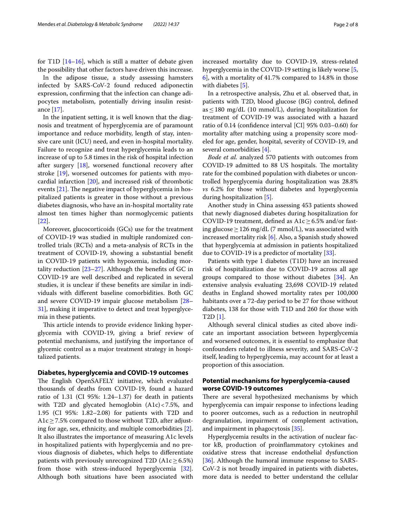for T1D  $[14–16]$  $[14–16]$ , which is still a matter of debate given the possibility that other factors have driven this increase.

In the adipose tissue, a study assessing hamsters infected by SARS-CoV-2 found reduced adiponectin expression, confrming that the infection can change adipocytes metabolism, potentially driving insulin resistance [[17\]](#page-5-10).

In the inpatient setting, it is well known that the diagnosis and treatment of hyperglycemia are of paramount importance and reduce morbidity, length of stay, intensive care unit (ICU) need, and even in-hospital mortality. Failure to recognize and treat hyperglycemia leads to an increase of up to 5.8 times in the risk of hospital infection after surgery [\[18](#page-5-11)], worsened functional recovery after stroke [[19\]](#page-5-12), worsened outcomes for patients with myocardial infarction [\[20](#page-5-13)], and increased risk of thrombotic events  $[21]$  $[21]$ . The negative impact of hyperglycemia in hospitalized patients is greater in those without a previous diabetes diagnosis, who have an in-hospital mortality rate almost ten times higher than normoglycemic patients [[22\]](#page-6-1).

Moreover, glucocorticoids (GCs) use for the treatment of COVID-19 was studied in multiple randomized controlled trials (RCTs) and a meta-analysis of RCTs in the treatment of COVID-19, showing a substantial beneft in COVID-19 patients with hypoxemia, including mortality reduction  $[23-27]$  $[23-27]$  $[23-27]$ . Although the benefits of GC in COVID-19 are well described and replicated in several studies, it is unclear if these benefts are similar in individuals with diferent baseline comorbidities. Both GC and severe COVID-19 impair glucose metabolism [[28–](#page-6-4) [31\]](#page-6-5), making it imperative to detect and treat hyperglycemia in these patients.

This article intends to provide evidence linking hyperglycemia with COVID-19, giving a brief review of potential mechanisms, and justifying the importance of glycemic control as a major treatment strategy in hospitalized patients.

# **Diabetes, hyperglycemia and COVID‑19 outcomes**

The English OpenSAFELY initiative, which evaluated thousands of deaths from COVID-19, found a hazard ratio of 1.31 (CI 95%: 1.24–1.37) for death in patients with T2D and glycated hemoglobin (A1c)<7.5%, and 1.95 (CI 95%: 1.82–2.08) for patients with T2D and A1c  $\geq$  7.5% compared to those without T2D, after adjusting for age, sex, ethnicity, and multiple comorbidities [\[2](#page-5-14)]. It also illustrates the importance of measuring A1c levels in hospitalized patients with hyperglycemia and no previous diagnosis of diabetes, which helps to diferentiate patients with previously unrecognized T2D (A1c $\geq$  6.5%) from those with stress-induced hyperglycemia [\[32](#page-6-6)]. Although both situations have been associated with increased mortality due to COVID-19, stress-related hyperglycemia in the COVID-19 setting is likely worse [\[5](#page-5-15), [6\]](#page-5-16), with a mortality of 41.7% compared to 14.8% in those with diabetes [\[5](#page-5-15)].

In a retrospective analysis, Zhu et al. observed that, in patients with T2D, blood glucose (BG) control, defned as  $\leq$  180 mg/dL (10 mmol/L), during hospitalization for treatment of COVID-19 was associated with a hazard ratio of 0.14 (confdence interval [CI] 95% 0.03–0.60) for mortality after matching using a propensity score modeled for age, gender, hospital, severity of COVID-19, and several comorbidities [\[4](#page-5-17)].

*Bode et al.* analyzed 570 patients with outcomes from COVID-19 admitted to 88 US hospitals. The mortality rate for the combined population with diabetes or uncontrolled hyperglycemia during hospitalization was 28.8% *vs* 6.2% for those without diabetes and hyperglycemia during hospitalization [\[5](#page-5-15)].

Another study in China assessing 453 patients showed that newly diagnosed diabetes during hospitalization for COVID-19 treatment, defined as  $A1c \geq 6.5\%$  and/or fasting glucose  $>126$  mg/dL (7 mmol/L), was associated with increased mortality risk [[6\]](#page-5-16). Also, a Spanish study showed that hyperglycemia at admission in patients hospitalized due to COVID-19 is a predictor of mortality [\[33\]](#page-6-7).

Patients with type 1 diabetes (T1D) have an increased risk of hospitalization due to COVID-19 across all age groups compared to those without diabetes [[34](#page-6-8)]. An extensive analysis evaluating 23,698 COVID-19 related deaths in England showed mortality rates per 100,000 habitants over a 72-day period to be 27 for those without diabetes, 138 for those with T1D and 260 for those with T2D [[1\]](#page-5-0).

Although several clinical studies as cited above indicate an important association between hyperglycemia and worsened outcomes, it is essential to emphasize that confounders related to illness severity, and SARS-CoV-2 itself, leading to hyperglycemia, may account for at least a proportion of this association.

# **Potential mechanisms for hyperglycemia‑caused worse COVID‑19 outcomes**

There are several hypothesized mechanisms by which hyperglycemia can impair response to infections leading to poorer outcomes, such as a reduction in neutrophil degranulation, impairment of complement activation, and impairment in phagocytosis [[35\]](#page-6-9).

Hyperglycemia results in the activation of nuclear factor kB, production of proinfammatory cytokines and oxidative stress that increase endothelial dysfunction [[36\]](#page-6-10). Although the humoral immune response to SARS-CoV-2 is not broadly impaired in patients with diabetes, more data is needed to better understand the cellular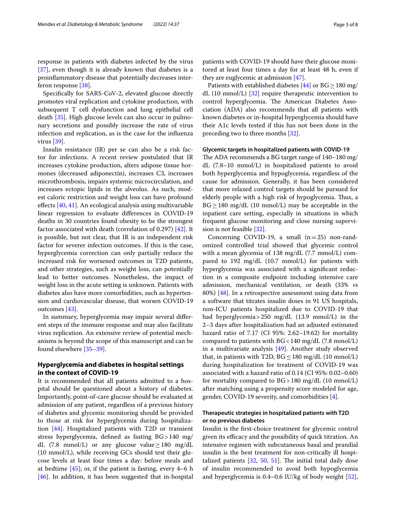response in patients with diabetes infected by the virus [[37\]](#page-6-11), even though it is already known that diabetes is a proinfammatory disease that potentially decreases interferon response [\[38](#page-6-12)].

Specifcally for SARS-CoV-2, elevated glucose directly promotes viral replication and cytokine production, with subsequent T cell dysfunction and lung epithelial cell death [[35\]](#page-6-9). High glucose levels can also occur in pulmonary secretions and possibly increase the rate of virus infection and replication, as is the case for the infuenza virus [[39](#page-6-13)].

Insulin resistance (IR) per se can also be a risk factor for infections. A recent review postulated that IR increases cytokine production, alters adipose tissue hormones (decreased adiponectin), increases C3, increases microthrombosis, impairs systemic microcirculation, and increases ectopic lipids in the alveolus. As such, modest caloric restriction and weight loss can have profound efects [[40](#page-6-14), [41\]](#page-6-15). An ecological analysis using multivariable linear regression to evaluate diferences in COVID-19 deaths in 30 countries found obesity to be the strongest factor associated with death (correlation of 0.297) [\[42](#page-6-16)]. It is possible, but not clear, that IR is an independent risk factor for severer infection outcomes. If this is the case, hyperglycemia correction can only partially reduce the increased risk for worsened outcomes in T2D patients, and other strategies, such as weight loss, can potentially lead to better outcomes. Nonetheless, the impact of weight loss in the acute setting is unknown. Patients with diabetes also have more comorbidities, such as hypertension and cardiovascular disease, that worsen COVID-19 outcomes [[43\]](#page-6-17).

In summary, hyperglycemia may impair several diferent steps of the immune response and may also facilitate virus replication. An extensive review of potential mechanisms is beyond the scope of this manuscript and can be found elsewhere [[35–](#page-6-9)[39\]](#page-6-13).

# **Hyperglycemia and diabetes in hospital settings in the context of COVID‑19**

It is recommended that all patients admitted to a hospital should be questioned about a history of diabetes. Importantly, point-of-care glucose should be evaluated at admission of any patient, regardless of a previous history of diabetes and glycemic monitoring should be provided to those at risk for hyperglycemia during hospitalization [[44\]](#page-6-18). Hospitalized patients with T2D or transient stress hyperglycemia, defned as fasting BG>140 mg/ dL (7.8 mmol/L) or any glucose value  $\geq$  180 mg/dL (10 mmol/L), while receiving GCs should test their glucose levels at least four times a day: before meals and at bedtime  $[45]$  $[45]$ ; or, if the patient is fasting, every 4–6 h [[46\]](#page-6-20). In addition, it has been suggested that in-hospital

patients with COVID-19 should have their glucose monitored at least four times a day for at least 48 h, even if they are euglycemic at admission [[47](#page-6-21)].

Patients with established diabetes [\[44](#page-6-18)] or  $BG \ge 180$  mg/ dL (10 mmol/L) [[32\]](#page-6-6) require therapeutic intervention to control hyperglycemia. The American Diabetes Association (ADA) also recommends that all patients with known diabetes or in-hospital hyperglycemia should have their A1c levels tested if this has not been done in the preceding two to three months [\[32\]](#page-6-6).

## **Glycemic targets in hospitalized patients with COVID‑19**

The ADA recommends a BG target range of  $140-180$  mg/ dL (7.8–10 mmol/L) in hospitalized patients to avoid both hyperglycemia and hypoglycemia, regardless of the cause for admission. Generally, it has been considered that more relaxed control targets should be pursued for elderly people with a high risk of hypoglycemia. Thus, a  $BG \geq 180$  mg/dL (10 mmol/L) may be acceptable in the inpatient care setting, especially in situations in which frequent glucose monitoring and close nursing supervision is not feasible [\[32\]](#page-6-6).

Concerning COVID-19, a small  $(n=25)$  non-randomized controlled trial showed that glycemic control with a mean glycemia of 138 mg/dL (7.7 mmol/L) compared to 192 mg/dL (10.7 mmol/L) for patients with hyperglycemia was associated with a signifcant reduction in a composite endpoint including intensive care admission, mechanical ventilation, or death (33% *vs* 80%) [[48\]](#page-6-22). In a retrospective assessment using data from a software that titrates insulin doses in 91 US hospitals, non-ICU patients hospitalized due to COVID-19 that had hyperglycemia>250 mg/dL (13.9 mmol/L) in the 2–3 days after hospitalization had an adjusted estimated hazard ratio of 7.17 (CI 95%: 2.62–19.62) for mortality compared to patients with BG<140 mg/dL (7.8 mmol/L) in a multivariate analysis [[49\]](#page-6-23). Another study observed that, in patients with T2D,  $BG \le 180$  mg/dL (10 mmol/L) during hospitalization for treatment of COVID-19 was associated with a hazard ratio of 0.14 (CI 95%: 0.02–0.60) for mortality compared to BG>180 mg/dL (10 mmol/L) after matching using a propensity score modeled for age, gender, COVID-19 severity, and comorbidities [[4](#page-5-17)].

# **Therapeutic strategies in hospitalized patients with T2D or no previous diabetes**

Insulin is the frst-choice treatment for glycemic control given its efficacy and the possibility of quick titration. An intensive regimen with subcutaneous basal and prandial insulin is the best treatment for non-critically ill hospitalized patients  $[32, 50, 51]$  $[32, 50, 51]$  $[32, 50, 51]$  $[32, 50, 51]$  $[32, 50, 51]$  $[32, 50, 51]$ . The initial total daily dose of insulin recommended to avoid both hypoglycemia and hyperglycemia is 0.4–0.6 IU/kg of body weight [\[52](#page-6-26)],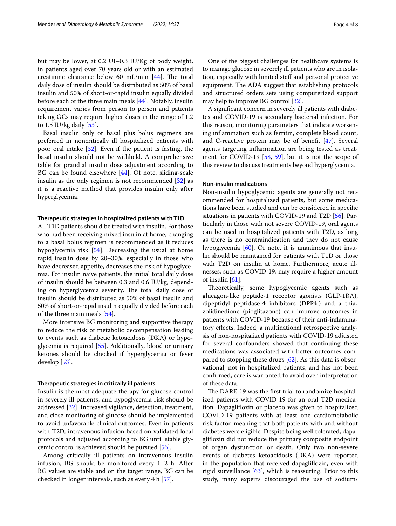but may be lower, at 0.2 UI–0.3 IU/Kg of body weight, in patients aged over 70 years old or with an estimated creatinine clearance below 60 mL/min  $[44]$  $[44]$ . The total daily dose of insulin should be distributed as 50% of basal insulin and 50% of short-or-rapid insulin equally divided before each of the three main meals [\[44](#page-6-18)]. Notably, insulin requirement varies from person to person and patients taking GCs may require higher doses in the range of 1.2 to 1.5 IU/kg daily [[53](#page-6-27)].

Basal insulin only or basal plus bolus regimens are preferred in noncritically ill hospitalized patients with poor oral intake [[32\]](#page-6-6). Even if the patient is fasting, the basal insulin should not be withheld. A comprehensive table for prandial insulin dose adjustment according to BG can be found elsewhere [[44\]](#page-6-18). Of note, sliding-scale insulin as the only regimen is not recommended [[32\]](#page-6-6) as it is a reactive method that provides insulin only after hyperglycemia.

## **Therapeutic strategies in hospitalized patients with T1D**

All T1D patients should be treated with insulin. For those who had been receiving mixed insulin at home, changing to a basal bolus regimen is recommended as it reduces hypoglycemia risk [[54\]](#page-6-28). Decreasing the usual at home rapid insulin dose by 20–30%, especially in those who have decreased appetite, decreases the risk of hypoglycemia. For insulin naïve patients, the initial total daily dose of insulin should be between 0.3 and 0.6 IU/kg, depending on hyperglycemia severity. The total daily dose of insulin should be distributed as 50% of basal insulin and 50% of short-or-rapid insulin equally divided before each of the three main meals [\[54](#page-6-28)].

More intensive BG monitoring and supportive therapy to reduce the risk of metabolic decompensation leading to events such as diabetic ketoacidosis (DKA) or hypoglycemia is required [\[55](#page-6-29)]. Additionally, blood or urinary ketones should be checked if hyperglycemia or fever develop [\[53\]](#page-6-27).

## **Therapeutic strategies in critically ill patients**

Insulin is the most adequate therapy for glucose control in severely ill patients, and hypoglycemia risk should be addressed [\[32](#page-6-6)]. Increased vigilance, detection, treatment, and close monitoring of glucose should be implemented to avoid unfavorable clinical outcomes. Even in patients with T2D, intravenous infusion based on validated local protocols and adjusted according to BG until stable glycemic control is achieved should be pursued [[56](#page-6-30)].

Among critically ill patients on intravenous insulin infusion, BG should be monitored every 1–2 h. After BG values are stable and on the target range, BG can be checked in longer intervals, such as every 4 h [[57\]](#page-6-31).

One of the biggest challenges for healthcare systems is to manage glucose in severely ill patients who are in isolation, especially with limited staff and personal protective equipment. The ADA suggest that establishing protocols and structured orders sets using computerized support may help to improve BG control [[32](#page-6-6)].

A signifcant concern in severely ill patients with diabetes and COVID-19 is secondary bacterial infection. For this reason, monitoring parameters that indicate worsening infammation such as ferritin, complete blood count, and C-reactive protein may be of beneft [\[47](#page-6-21)]. Several agents targeting infammation are being tested as treatment for COVID-19 [\[58](#page-6-32), [59](#page-6-33)], but it is not the scope of this review to discuss treatments beyond hyperglycemia.

# **Non‑insulin medications**

Non-insulin hypoglycemic agents are generally not recommended for hospitalized patients, but some medications have been studied and can be considered in specifc situations in patients with COVID-19 and T2D [[56\]](#page-6-30). Particularly in those with not severe COVID-19, oral agents can be used in hospitalized patients with T2D, as long as there is no contraindication and they do not cause hypoglycemia [\[60](#page-6-34)]. Of note, it is unanimous that insulin should be maintained for patients with T1D or those with T2D on insulin at home. Furthermore, acute illnesses, such as COVID-19, may require a higher amount of insulin [\[61](#page-6-35)].

Theoretically, some hypoglycemic agents such as glucagon-like peptide-1 receptor agonists (GLP-1RA), dipeptidyl peptidase-4 inhibitors (DPP4i) and a thiazolidinedione (pioglitazone) can improve outcomes in patients with COVID-19 because of their anti-infammatory effects. Indeed, a multinational retrospective analysis of non-hospitalized patients with COVID-19 adjusted for several confounders showed that continuing these medications was associated with better outcomes compared to stopping these drugs [[62](#page-7-0)]. As this data is observational, not in hospitalized patients, and has not been confrmed, care is warranted to avoid over-interpretation of these data.

The DARE-19 was the first trial to randomize hospitalized patients with COVID-19 for an oral T2D medication. Dapaglifozin or placebo was given to hospitalized COVID-19 patients with at least one cardiometabolic risk factor, meaning that both patients with and without diabetes were eligible. Despite being well tolerated, dapaglifozin did not reduce the primary composite endpoint of organ dysfunction or death. Only two non-severe events of diabetes ketoacidosis (DKA) were reported in the population that received dapaglifozin, even with rigid surveillance  $[63]$  $[63]$  $[63]$ , which is reassuring. Prior to this study, many experts discouraged the use of sodium/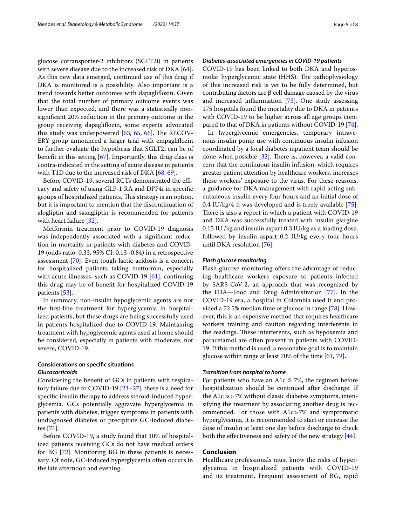glucose cotransporter-2 inhibitors (SGLT2i) in patients with severe disease due to the increased risk of DKA [\[64](#page-7-2)]. As this new data emerged, continued use of this drug if DKA is monitored is a possibility. Also important is a trend towards better outcomes with dapaglifozin. Given that the total number of primary outcome events was lower than expected, and there was a statistically nonsignifcant 20% reduction in the primary outcome in the group receiving dapaglifozin, some experts advocated this study was underpowered  $[63, 65, 66]$  $[63, 65, 66]$  $[63, 65, 66]$  $[63, 65, 66]$  $[63, 65, 66]$  $[63, 65, 66]$ . The RECOV-ERY group announced a larger trial with empaglifozin to further evaluate the hypothesis that SGLT2i can be of beneft in this setting [\[67](#page-7-5)]. Importantly, this drug class is contra-indicated in the setting of acute disease in patients with T1D due to the increased risk of DKA [\[68](#page-7-6), [69\]](#page-7-7).

Before COVID-19, several RCTs demonstrated the efficacy and safety of using GLP-1 RA and DPP4i in specifc groups of hospitalized patients. This strategy is an option, but it is important to mention that the discontinuation of alogliptin and saxagliptin is recommended for patients with heart failure [[32\]](#page-6-6).

Metformin treatment prior to COVID-19 diagnosis was independently associated with a signifcant reduction in mortality in patients with diabetes and COVID-19 (odds ratio: 0.33, 95% CI: 0.13–0.84) in a retrospective assessment [\[70\]](#page-7-8). Even tough lactic acidosis is a concern for hospitalized patients taking metformin, especially with acute illnesses, such as COVID-19 [[61\]](#page-6-35), continuing this drug may be of beneft for hospitalized COVID-19 patients [[53\]](#page-6-27).

In summary, non-insulin hypoglycemic agents are not the frst-line treatment for hyperglycemia in hospitalized patients, but these drugs are being successfully used in patients hospitalized due to COVID-19. Maintaining treatment with hypoglycemic agents used at home should be considered, especially in patients with moderate, not severe, COVID-19.

# **Considerations on specifc situations** *Glucocorticoids*

Considering the beneft of GCs in patients with respiratory failure due to COVID-19 [[23–](#page-6-2)[27](#page-6-3)], there is a need for specifc insulin therapy to address steroid-induced hyperglycemia. GCs potentially aggravate hyperglycemia in patients with diabetes, trigger symptoms in patients with undiagnosed diabetes or precipitate GC-induced diabetes [[71\]](#page-7-9).

Before COVID-19, a study found that 10% of hospitalized patients receiving GCs do not have medical orders for BG [[72\]](#page-7-10). Monitoring BG in these patients is necessary. Of note, GC-induced hyperglycemia often occurs in the late afternoon and evening.

# *Diabetes‑associated emergencies in COVID‑19 patients*

COVID-19 has been linked to both DKA and hyperosmolar hyperglycemic state (HHS). The pathophysiology of this increased risk is yet to be fully determined, but contributing factors are β cell damage caused by the virus and increased infammation [\[73\]](#page-7-11). One study assessing 175 hospitals found the mortality due to DKA in patients with COVID-19 to be higher across all age groups compared to that of DKA in patients without COVID-19 [\[74](#page-7-12)].

In hyperglycemic emergencies, temporary intravenous insulin pump use with continuous insulin infusion coordinated by a local diabetes inpatient team should be done when possible  $[32]$  $[32]$ . There is, however, a valid concern that the continuous insulin infusion, which requires greater patient attention by healthcare workers, increases these workers' exposure to the virus. For these reasons, a guidance for DKA management with rapid-acting subcutaneous insulin every four hours and an initial dose of 0.4 IU/kg/4 h was developed and is freely available [\[75](#page-7-13)]. There is also a report in which a patient with COVID-19 and DKA was successfully treated with insulin glargine 0.15 IU /kg and insulin aspart 0.3 IU/kg as a loading dose, followed by insulin aspart 0.2 IU/kg every four hours until DKA resolution [[76](#page-7-14)].

# *Flash glucose monitoring*

Flash glucose monitoring offers the advantage of reducing healthcare workers exposure to patients infected by SARS-CoV-2, an approach that was recognized by the FDA—Food and Drug Administration [\[77](#page-7-15)]. In the COVID-19 era, a hospital in Colombia used it and provided a 72.5% median time of glucose in range [[78\]](#page-7-16). However, this is an expensive method that requires healthcare workers training and caution regarding interferents in the readings. These interferents, such as hypoxemia and paracetamol are often present in patients with COVID-19. If this method is used, a reasonable goal is to maintain glucose within range at least 70% of the time [\[61,](#page-6-35) [79](#page-7-17)].

## *Transition from hospital to home*

For patients who have an A1 $c \le 7$ %, the regimen before hospitalization should be continued after discharge. If the A1c is>7% without classic diabetes symptoms, intensifying the treatment by associating another drug is recommended. For those with A1c>7% and symptomatic hyperglycemia, it is recommended to start or increase the dose of insulin at least one day before discharge to check both the effectiveness and safety of the new strategy [\[44](#page-6-18)].

## **Conclusion**

Healthcare professionals must know the risks of hyperglycemia in hospitalized patients with COVID-19 and its treatment. Frequent assessment of BG, rapid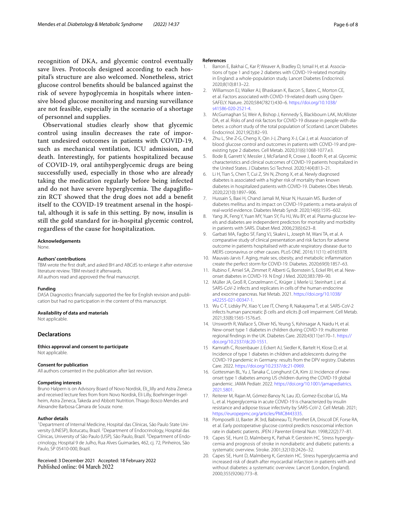recognition of DKA, and glycemic control eventually save lives. Protocols designed according to each hospital's structure are also welcomed. Nonetheless, strict glucose control benefts should be balanced against the risk of severe hypoglycemia in hospitals where intensive blood glucose monitoring and nursing surveillance are not feasible, especially in the scenario of a shortage of personnel and supplies.

Observational studies clearly show that glycemic control using insulin decreases the rate of important undesired outcomes in patients with COVID-19, such as mechanical ventilation, ICU admission, and death. Interestingly, for patients hospitalized because of COVID-19, oral antihyperglycemic drugs are being successfully used, especially in those who are already taking the medication regularly before being infected and do not have severe hyperglycemia. The dapagliflozin RCT showed that the drug does not add a beneft itself to the COVID-19 treatment arsenal in the hospital, although it is safe in this setting. By now, insulin is still the gold standard for in-hospital glycemic control, regardless of the cause for hospitalization.

#### **Acknowledgements**

None.

#### **Authors' contributions**

TBM wrote the frst draft, and asked BH and ABCdS to enlarge it after extensive literature review. TBM revised it afterwards. All authors read and approved the fnal manuscript.

#### **Funding**

DASA Diagnostics financially supported the fee for English revision and publication but had no participation in the content of this manuscript.

#### **Availability of data and materials**

Not applicable.

## **Declarations**

#### **Ethics approval and consent to participate** Not applicable.

#### **Consent for publication**

All authors consented in the publication after last revision.

#### **Competing interests**

Bruno Halpern is on Advisory Board of Novo Nordisk, Eli\_lilly and Astra Zeneca and received lecture fees from from Novo Nordisk, Eli Lilly, Boehringer-Ingelheim, Astra Zeneca, Takeda and Abbott Nutrition. Thiago Bosco Mendes and Alexandre Barbosa Câmara de Souza: none.

#### **Author details**

<sup>1</sup> Department of Internal Medicine, Hospital das Clínicas, São Paulo State University (UNESP), Botucatu, Brazil. <sup>2</sup> Department of Endocrinology, Hospital das Clínicas, University of São Paulo (USP), São Paulo, Brazil. <sup>3</sup> Department of Endocrinology, Hospital 9 de Julho, Rua Alves Guimarães, 462, cj. 72, Pinheiros, São Paulo, SP 05410-000, Brazil.

Received: 3 December 2021 Accepted: 18 February 2022 Published online: 04 March 2022

#### **References**

- <span id="page-5-0"></span>1. Barron E, Bakhai C, Kar P, Weaver A, Bradley D, Ismail H, et al. Associations of type 1 and type 2 diabetes with COVID-19-related mortality in England: a whole-population study. Lancet Diabetes Endocrinol. 2020;8(10):813–22.
- <span id="page-5-14"></span>2. Williamson EJ, Walker AJ, Bhaskaran K, Bacon S, Bates C, Morton CE, et al. Factors associated with COVID-19-related death using Open-SAFELY. Nature. 2020;584(7821):430–6. [https://doi.org/10.1038/](https://doi.org/10.1038/s41586-020-2521-4) [s41586-020-2521-4.](https://doi.org/10.1038/s41586-020-2521-4)
- 3. McGurnaghan SJ, Weir A, Bishop J, Kennedy S, Blackbourn LAK, McAllister DA, et al. Risks of and risk factors for COVID-19 disease in people with diabetes: a cohort study of the total population of Scotland. Lancet Diabetes Endocrinol. 2021;9(2):82–93.
- <span id="page-5-17"></span>4. Zhu L, She Z-G, Cheng X, Qin J-J, Zhang X-J, Cai J, et al. Association of blood glucose control and outcomes in patients with COVID-19 and preexisting type 2 diabetes. Cell Metab. 2020;31(6):1068-1077.e3.
- <span id="page-5-15"></span>5. Bode B, Garrett V, Messler J, McFarland R, Crowe J, Booth R, et al. Glycemic characteristics and clinical outcomes of COVID-19 patients hospitalized in the United States. J Diabetes Sci Technol. 2020;14(4):813–21.
- <span id="page-5-16"></span>6. Li H, Tian S, Chen T, Cui Z, Shi N, Zhong X, et al. Newly diagnosed diabetes is associated with a higher risk of mortality than known diabetes in hospitalized patients with COVID-19. Diabetes Obes Metab. 2020;22(10):1897–906.
- <span id="page-5-1"></span>7. Hussain S, Baxi H, Chand Jamali M, Nisar N, Hussain MS. Burden of diabetes mellitus and its impact on COVID-19 patients: a meta-analysis of real-world evidence. Diabetes Metab Syndr. 2020;14(6):1595–602.
- <span id="page-5-2"></span>8. Yang JK, Feng Y, Yuan MY, Yuan SY, Fu HJ, Wu BY, et al. Plasma glucose levels and diabetes are independent predictors for mortality and morbidity in patients with SARS. Diabet Med. 2006;23(6):623–8.
- <span id="page-5-3"></span>9. Garbati MA, Fagbo SF, Fang VJ, Skakni L, Joseph M, Wani TA, et al. A comparative study of clinical presentation and risk factors for adverse outcome in patients hospitalised with acute respiratory disease due to MERS coronavirus or other causes. PLoS ONE. 2016;11(11): e0165978.
- <span id="page-5-4"></span>10. Mauvais-Jarvis F. Aging, male sex, obesity, and metabolic infammation create the perfect storm for COVID-19. Diabetes. 2020;69(9):1857–63.
- <span id="page-5-5"></span>11. Rubino F, Amiel SA, Zimmet P, Alberti G, Bornstein S, Eckel RH, et al. Newonset diabetes in COVID-19. N Engl J Med. 2020;383:789–90.
- <span id="page-5-6"></span>12. Müller JA, Groß R, Conzelmann C, Krüger J, Merle U, Steinhart J, et al. SARS-CoV-2 infects and replicates in cells of the human endocrine and exocrine pancreas. Nat Metab. 2021. [https://doi.org/10.1038/](https://doi.org/10.1038/s42255-021-00347-1) [s42255-021-00347-1](https://doi.org/10.1038/s42255-021-00347-1).
- <span id="page-5-7"></span>13. Wu C-T, Lidsky PV, Xiao Y, Lee IT, Cheng R, Nakayama T, et al. SARS-CoV-2 infects human pancreatic β cells and elicits β cell impairment. Cell Metab. 2021;33(8):1565-1576.e5.
- <span id="page-5-8"></span>14. Unsworth R, Wallace S, Oliver NS, Yeung S, Kshirsagar A, Naidu H, et al. New-onset type 1 diabetes in children during COVID-19: multicenter regional fndings in the UK. Diabetes Care. 2020;43(11):e170–1. [https://](https://doi.org/10.2337/dc20-1551) [doi.org/10.2337/dc20-1551](https://doi.org/10.2337/dc20-1551).
- 15 Kamrath C, Rosenbauer J, Eckert AJ, Siedler K, Bartelt H, Klose D, et al. Incidence of type 1 diabetes in children and adolescents during the COVID-19 pandemic in Germany: results from the DPV registry. Diabetes Care. 2022. <https://doi.org/10.2337/dc21-0969>.
- <span id="page-5-9"></span>16. Gottesman BL, Yu J, Tanaka C, Longhurst CA, Kim JJ. Incidence of newonset type 1 diabetes among US children during the COVID-19 global pandemic. JAMA Pediatr. 2022. [https://doi.org/10.1001/jamapediatrics.](https://doi.org/10.1001/jamapediatrics.2021.5801) [2021.5801](https://doi.org/10.1001/jamapediatrics.2021.5801).
- <span id="page-5-10"></span>17. Reiterer M, Rajan M, Gómez-Banoy N, Lau JD, Gomez-Escobar LG, Ma L, et al. Hyperglycemia in acute COVID-19 is characterized by insulin resistance and adipose tissue infectivity by SARS-CoV-2. Cell Metab. 2021; <https://europepmc.org/articles/PMC8443335>.
- <span id="page-5-11"></span>18. Pomposelli JJ, Baxter JK 3rd, Babineau TJ, Pomfret EA, Driscoll DF, Forse RA, et al. Early postoperative glucose control predicts nosocomial infection rate in diabetic patients. JPEN J Parenter Enteral Nutr. 1998;22(2):77–81.
- <span id="page-5-12"></span>19. Capes SE, Hunt D, Malmberg K, Pathak P, Gerstein HC. Stress hyperglycemia and prognosis of stroke in nondiabetic and diabetic patients: a systematic overview. Stroke. 2001;32(10):2426–32.
- <span id="page-5-13"></span>20. Capes SE, Hunt D, Malmberg K, Gerstein HC. Stress hyperglycaemia and increased risk of death after myocardial infarction in patients with and without diabetes: a systematic overview. Lancet (London, England). 2000;355(9206):773–8.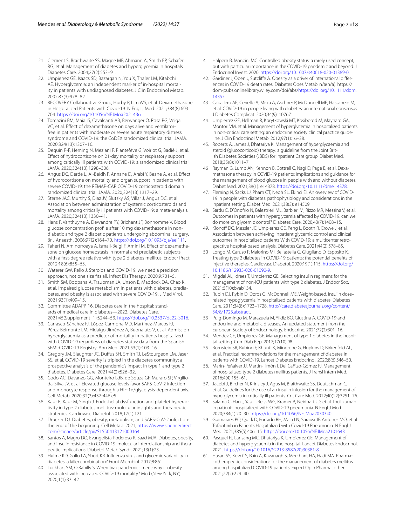- <span id="page-6-0"></span>21. Clement S, Braithwaite SS, Magee MF, Ahmann A, Smith EP, Schafer RG, et al. Management of diabetes and hyperglycemia in hospitals. Diabetes Care. 2004;27(2):553–91.
- <span id="page-6-1"></span>22. Umpierrez GE, Isaacs SD, Bazargan N, You X, Thaler LM, Kitabchi AE. Hyperglycemia: an independent marker of in-hospital mortality in patients with undiagnosed diabetes. J Clin Endocrinol Metab. 2002;87(3):978–82.
- <span id="page-6-2"></span>23. RECOVERY Collaborative Group, Horby P, Lim WS, et al. Dexamethasone in Hospitalized Patients with Covid-19. N Engl J Med. 2021;384(8):693– 704. [https://doi.org/10.1056/NEJMoa2021436.](https://doi.org/10.1056/NEJMoa2021436)
- 24. Tomazini BM, Maia IS, Cavalcanti AB, Berwanger O, Rosa RG, Veiga VC, et al. Efect of dexamethasone on days alive and ventilatorfree in patients with moderate or severe acute respiratory distress syndrome and COVID-19: the CoDEX randomized clinical trial. JAMA. 2020;324(13):1307–16.
- 25. Dequin P-F, Heming N, Meziani F, Plantefève G, Voiriot G, Badié J, et al. Efect of hydrocortisone on 21-day mortality or respiratory support among critically Ill patients with COVID-19: a randomized clinical trial. JAMA. 2020;324(13):1298–306.
- 26. Angus DC, Derde L, Al-Beidh F, Annane D, Arabi Y, Beane A, et al. Efect of hydrocortisone on mortality and organ support in patients with severe COVID-19: the REMAP-CAP COVID-19 corticosteroid domain randomized clinical trial. JAMA. 2020;324(13):1317–29.
- <span id="page-6-3"></span>27. Sterne JAC, Murthy S, Diaz JV, Slutsky AS, Villar J, Angus DC, et al. Association between administration of systemic corticosteroids and mortality among critically ill patients with COVID-19: a meta-analysis. JAMA. 2020;324(13):1330–41.
- <span id="page-6-4"></span>28. Hans P, Vanthuyne A, Dewandre PY, Brichant JF, Bonhomme V. Blood glucose concentration profle after 10 mg dexamethasone in nondiabetic and type 2 diabetic patients undergoing abdominal surgery. Br J Anaesth. 2006;97(2):164–70. [https://doi.org/10.1093/bja/ael111.](https://doi.org/10.1093/bja/ael111)
- 29. Taheri N, Aminorroaya A, Ismail-Beigi F, Amini M. Effect of dexamethasone on glucose homeostasis in normal and prediabetic subjects with a frst-degree relative with type 2 diabetes mellitus. Endocr Pract. 2012;18(6):855–63.
- Waterer GW, Rello J. Steroids and COVID-19: we need a precision approach, not one size fts all. Infect Dis Therapy. 2020;9:701–5.
- <span id="page-6-5"></span>31. Smith SM, Boppana A, Traupman JA, Unson E, Maddock DA, Chao K, et al. Impaired glucose metabolism in patients with diabetes, prediabetes, and obesity is associated with severe COVID-19. J Med Virol. 2021;93(1):409–15.
- <span id="page-6-6"></span>32. Committee ADAPP. 16. Diabetes care in the hospital: standards of medical care in diabetes—2022. Diabetes Care. 2021;45(Supplement\_1):S244–53.<https://doi.org/10.2337/dc22-S016>.
- <span id="page-6-7"></span>33. Carrasco-Sánchez FJ, López-Carmona MD, Martínez-Marcos FJ, Pérez-Belmonte LM, Hidalgo-Jiménez A, Buonaiuto V, et al. Admission hyperglycaemia as a predictor of mortality in patients hospitalized with COVID-19 regardless of diabetes status: data from the Spanish SEMI-COVID-19 Registry. Ann Med. 2021;53(1):103–16.
- <span id="page-6-8"></span>34. Gregory JM, Slaughter JC, Dufus SH, Smith TJ, LeStourgeon LM, Jaser SS, et al. COVID-19 severity is tripled in the diabetes community: a prospective analysis of the pandemic's impact in type 1 and type 2 diabetes. Diabetes Care. 2021;44(2):526–32.
- <span id="page-6-9"></span>35. Codo AC, Davanzo GG, Monteiro LdB, de Souza GF, Muraro SP, Virgilioda-Silva JV, et al. Elevated glucose levels favor SARS-CoV-2 infection and monocyte response through a HIF-1α/glycolysis-dependent axis. Cell Metab. 2020;32(3):437-446.e5.
- <span id="page-6-10"></span>36 Kaur R, Kaur M, Singh J. Endothelial dysfunction and platelet hyperactivity in type 2 diabetes mellitus: molecular insights and therapeutic strategies. Cardiovasc Diabetol. 2018;17(1):121.
- <span id="page-6-11"></span>37. Drucker DJ. Diabetes, obesity, metabolism, and SARS-CoV-2 infection: the end of the beginning. Cell Metab. 2021; [https://www.sciencedirect.](https://www.sciencedirect.com/science/article/pii/S1550413121000164) [com/science/article/pii/S1550413121000164](https://www.sciencedirect.com/science/article/pii/S1550413121000164)
- <span id="page-6-12"></span>38. Santos A, Magro DO, Evangelista-Poderoso R, Saad MJA. Diabetes, obesity, and insulin resistance in COVID-19: molecular interrelationship and therapeutic implications. Diabetol Metab Syndr. 2021;13(1):23.
- <span id="page-6-13"></span>39. Hulme KD, Gallo LA, Short KR. Infuenza virus and glycemic variability in diabetes: a killer combination? Front Microbiol. 2017;8:861.
- <span id="page-6-14"></span>40. Lockhart SM, O'Rahilly S. When two pandemics meet: why is obesity associated with increased COVID-19 mortality? Med (New York, NY). 2020;1(1):33–42.
- <span id="page-6-15"></span>41 Halpern B, Mancini MC. Controlled obesity status: a rarely used concept, but with particular importance in the COVID-19 pandemic and beyond. J Endocrinol Invest. 2020. [https://doi.org/10.1007/s40618-020-01389-0.](https://doi.org/10.1007/s40618-020-01389-0)
- <span id="page-6-16"></span>42. Gardiner J, Oben J, Sutcliffe A. Obesity as a driver of international differences in COVID-19 death rates. Diabetes Obes Metab. n/a(n/a). https:// dom-pubs.onlinelibrary.wiley.com/doi/abs/[https://doi.org/10.1111/dom.](https://doi.org/10.1111/dom.14357) [14357](https://doi.org/10.1111/dom.14357).
- <span id="page-6-17"></span>43 Caballero AE, Ceriello A, Misra A, Aschner P, McDonnell ME, Hassanein M, et al. COVID-19 in people living with diabetes: an international consensus. J Diabetes Complicat. 2020;34(9): 107671.
- <span id="page-6-18"></span>44. Umpierrez GE, Hellman R, Korytkowski MT, Kosiborod M, Maynard GA, Montori VM, et al. Management of hyperglycemia in hospitalized patients in non-critical care setting: an endocrine society clinical practice guideline. J Clin Endocrinol Metab. 2012;97(1):16–38.
- <span id="page-6-19"></span>45. Roberts A, James J, Dhatariya K. Management of hyperglycaemia and steroid (glucocorticoid) therapy: a guideline from the Joint British Diabetes Societies (JBDS) for Inpatient Care group. Diabet Med. 2018;35(8):1011–7.
- <span id="page-6-20"></span>46 Rayman G, Lumb AN, Kennon B, Cottrell C, Nagi D, Page E, et al. Dexamethasone therapy in COVID-19 patients: implications and guidance for the management of blood glucose in people with and without diabetes. Diabet Med. 2021;38(1): e14378. [https://doi.org/10.1111/dme.14378.](https://doi.org/10.1111/dme.14378)
- <span id="page-6-21"></span>47. Fleming N, Sacks LJ, Pham CT, Neoh SL, Ekinci EI. An overview of COVID-19 in people with diabetes: pathophysiology and considerations in the inpatient setting. Diabet Med. 2021;38(3): e14509.
- <span id="page-6-22"></span>48. Sardu C, D'Onofrio N, Balestrieri ML, Barbieri M, Rizzo MR, Messina V, et al. Outcomes in patients with hyperglycemia afected by COVID-19: can we do more on glycemic control? Diabetes Care. 2020;43(7):1408–15.
- <span id="page-6-23"></span>49. Klonoff DC, Messler JC, Umpierrez GE, Peng L, Booth R, Crowe J, et al. Association between achieving inpatient glycemic control and clinical outcomes in hospitalized patients With COVID-19: a multicenter retrospective hospital-based analysis. Diabetes Care. 2021;44(2):578–85.
- <span id="page-6-24"></span>50 Longo M, Caruso P, Maiorino MI, Bellastella G, Giugliano D, Esposito K. Treating type 2 diabetes in COVID-19 patients: the potential benefts of injective therapies. Cardiovasc Diabetol. 2020;19(1):115. [https://doi.org/](https://doi.org/10.1186/s12933-020-01090-9) [10.1186/s12933-020-01090-9](https://doi.org/10.1186/s12933-020-01090-9).
- <span id="page-6-25"></span>51. Migdal AL, Idrees T, Umpierrez GE. Selecting insulin regimens for the management of non-ICU patients with type 2 diabetes. J Endocr Soc. 2021;5(10):bvab134.
- <span id="page-6-26"></span>52. Rubin DJ, Rybin D, Doros G, McDonnell ME. Weight-based, insulin dose– related hypoglycemia in hospitalized patients with diabetes. Diabetes Care. 2011;34(8):1723–1728. [http://care.diabetesjournals.org/content/](http://care.diabetesjournals.org/content/34/8/1723.abstract) [34/8/1723.abstract.](http://care.diabetesjournals.org/content/34/8/1723.abstract)
- <span id="page-6-27"></span>53 Puig-Domingo M, Marazuela M, Yildiz BO, Giustina A. COVID-19 and endocrine and metabolic diseases. An updated statement from the European Society of Endocrinology. Endocrine. 2021;72(2):301–16.
- <span id="page-6-28"></span>54. Mendez CE, Umpierrez GE. Management of type 1 diabetes in the hospital setting. Curr Diab Rep. 2017;17(10):98.
- <span id="page-6-29"></span>55 Bornstein SR, Rubino F, Khunti K, Mingrone G, Hopkins D, Birkenfeld AL, et al. Practical recommendations for the management of diabetes in patients with COVID-19. Lancet Diabetes Endocrinol. 2020;8(6):546–50.
- <span id="page-6-30"></span>56. Marín-Peñalver JJ, Martín-Timón I, Del Cañizo-Gómez FJ. Management of hospitalized type 2 diabetes mellitus patients. J Transl Intern Med. 2016;4(4):155–61.
- <span id="page-6-31"></span>57. Jacobi J, Bircher N, Krinsley J, Agus M, Braithwaite SS, Deutschman C, et al. Guidelines for the use of an insulin infusion for the management of hyperglycemia in critically ill patients. Crit Care Med. 2012;40(12):3251–76.
- <span id="page-6-32"></span>58. Salama C, Han J, Yau L, Reiss WG, Kramer B, Neidhart JD, et al. Tocilizumab in patients hospitalized with COVID-19 pneumonia. N Engl J Med. 2020;384(1):20–30. [https://doi.org/10.1056/NEJMoa2030340.](https://doi.org/10.1056/NEJMoa2030340)
- <span id="page-6-33"></span>59 Guimarães PO, Quirk D, Furtado RH, Maia LN, Saraiva JF, Antunes MO, et al. Tofacitinib in Patients Hospitalized with Covid-19 Pneumonia. N Engl J Med. 2021;385(5):406–15. [https://doi.org/10.1056/NEJMoa2101643.](https://doi.org/10.1056/NEJMoa2101643)
- <span id="page-6-34"></span>60. Pasquel FJ, Lansang MC, Dhatariya K, Umpierrez GE. Management of diabetes and hyperglycaemia in the hospital. Lancet Diabetes Endocrinol. 2021. [https://doi.org/10.1016/S2213-8587\(20\)30381-8.](https://doi.org/10.1016/S2213-8587(20)30381-8)
- <span id="page-6-35"></span>61. Hasan SS, Kow CS, Bain A, Kavanagh S, Merchant HA, Hadi MA. Pharmacotherapeutic considerations for the management of diabetes mellitus among hospitalized COVID-19 patients. Expert Opin Pharmacother. 2021;22(2):229–40.